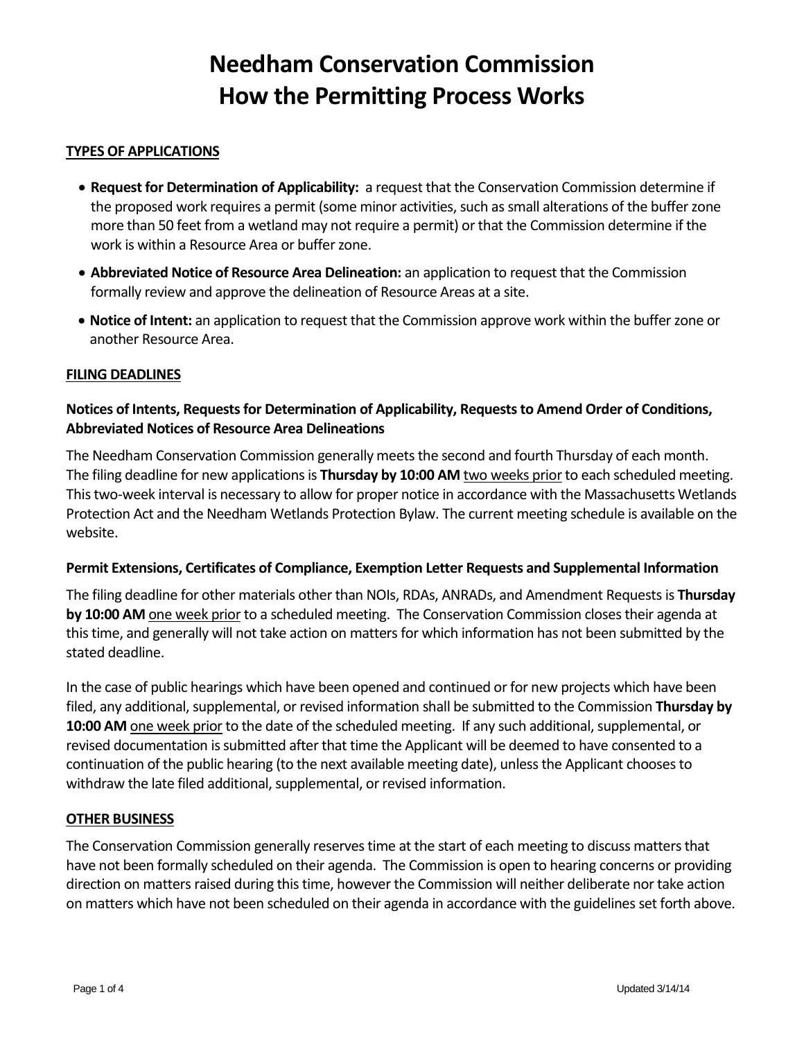# **Needham Conservation Commission How the Permitting Process Works**

## **TYPES OF APPLICATIONS**

- **Request for Determination of Applicability:** a request that the Conservation Commission determine if the proposed work requires a permit (some minor activities, such as small alterations of the buffer zone more than 50 feet from a wetland may not require a permit) or that the Commission determine if the work is within a Resource Area or buffer zone.
- **Abbreviated Notice of Resource Area Delineation:** an application to request that the Commission formally review and approve the delineation of Resource Areas at a site.
- **Notice of Intent:** an application to request that the Commission approve work within the buffer zone or another Resource Area.

#### **FILING DEADLINES**

# **Notices of Intents, Requests for Determination of Applicability, Requests to Amend Order of Conditions, Abbreviated Notices of Resource Area Delineations**

The Needham Conservation Commission generally meets the second and fourth Thursday of each month. The filing deadline for new applications is **Thursday by 10:00 AM** two weeks priorto each scheduled meeting. This two-week interval is necessary to allow for proper notice in accordance with the Massachusetts Wetlands Protection Act and the Needham Wetlands Protection Bylaw. The current meeting schedule is available on the website.

#### **Permit Extensions, Certificates of Compliance, Exemption Letter Requests and Supplemental Information**

The filing deadline for other materials other than NOIs, RDAs, ANRADs, and Amendment Requests is **Thursday by 10:00 AM** one week prior to a scheduled meeting. The Conservation Commission closes their agenda at this time, and generally will not take action on matters for which information has not been submitted by the stated deadline.

In the case of public hearings which have been opened and continued or for new projects which have been filed, any additional, supplemental, or revised information shall be submitted to the Commission **Thursday by 10:00 AM** one week prior to the date of the scheduled meeting. If any such additional, supplemental, or revised documentation is submitted after that time the Applicant will be deemed to have consented to a continuation of the public hearing (to the next available meeting date), unless the Applicant chooses to withdraw the late filed additional, supplemental, or revised information.

#### **OTHER BUSINESS**

The Conservation Commission generally reserves time at the start of each meeting to discuss matters that have not been formally scheduled on their agenda. The Commission is open to hearing concerns or providing direction on matters raised during this time, however the Commission will neither deliberate nor take action on matters which have not been scheduled on their agenda in accordance with the guidelines set forth above.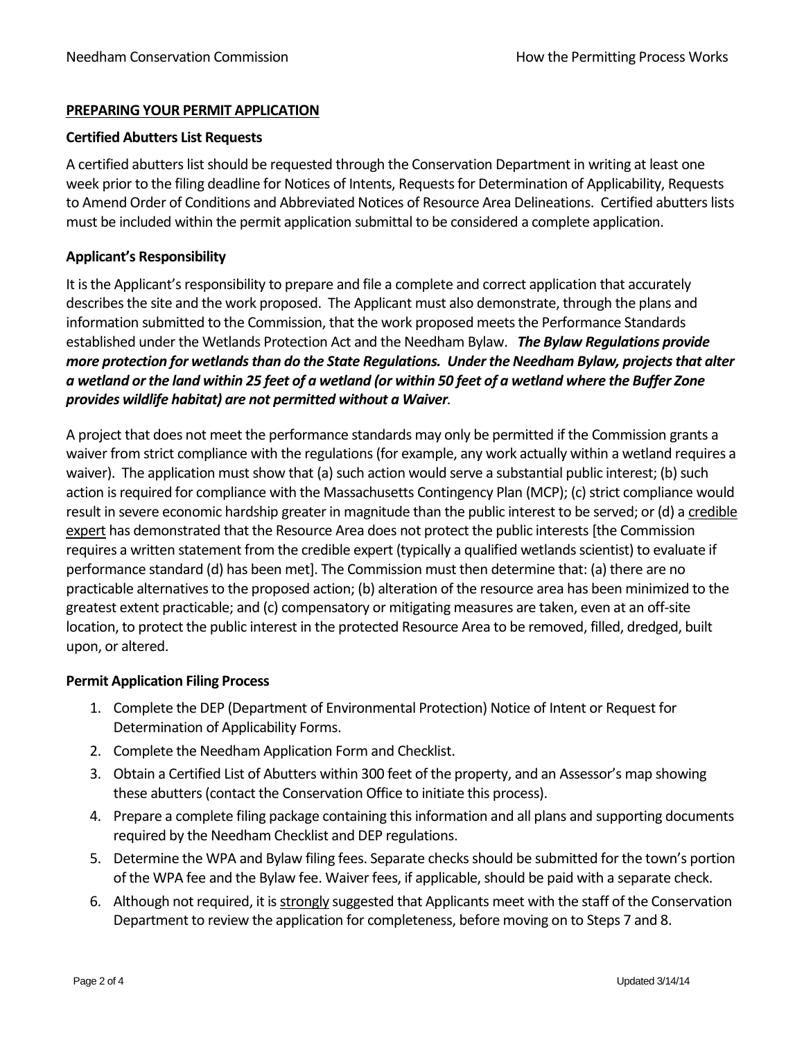## **PREPARING YOUR PERMIT APPLICATION**

## **Certified Abutters List Requests**

A certified abutters list should be requested through the Conservation Department in writing at least one week prior to the filing deadline for Notices of Intents, Requests for Determination of Applicability, Requests to Amend Order of Conditions and Abbreviated Notices of Resource Area Delineations. Certified abutters lists must be included within the permit application submittal to be considered a complete application.

## **Applicant's Responsibility**

It is the Applicant's responsibility to prepare and file a complete and correct application that accurately describes the site and the work proposed. The Applicant must also demonstrate, through the plans and information submitted to the Commission, that the work proposed meets the Performance Standards established under the Wetlands Protection Act and the Needham Bylaw. *The Bylaw Regulations provide more protection for wetlands than do the State Regulations. Under the Needham Bylaw, projects that alter a wetland or the land within 25 feet of a wetland (or within 50 feet of a wetland where the Buffer Zone provides wildlife habitat) are not permitted without a Waiver.*

A project that does not meet the performance standards may only be permitted if the Commission grants a waiver from strict compliance with the regulations (for example, any work actually within a wetland requires a waiver). The application must show that (a) such action would serve a substantial public interest; (b) such action is required for compliance with the Massachusetts Contingency Plan (MCP); (c) strict compliance would result in severe economic hardship greater in magnitude than the public interest to be served; or (d) a credible expert has demonstrated that the Resource Area does not protect the public interests [the Commission requires a written statement from the credible expert (typically a qualified wetlands scientist) to evaluate if performance standard (d) has been met]. The Commission must then determine that: (a) there are no practicable alternatives to the proposed action; (b) alteration of the resource area has been minimized to the greatest extent practicable; and (c) compensatory or mitigating measures are taken, even at an off-site location, to protect the public interest in the protected Resource Area to be removed, filled, dredged, built upon, or altered.

## **Permit Application Filing Process**

- 1. Complete the DEP (Department of Environmental Protection) Notice of Intent or Request for Determination of Applicability Forms.
- 2. Complete the Needham Application Form and Checklist.
- 3. Obtain a Certified List of Abutters within 300 feet of the property, and an Assessor's map showing these abutters (contact the Conservation Office to initiate this process).
- 4. Prepare a complete filing package containing this information and all plans and supporting documents required by the Needham Checklist and DEP regulations.
- 5. Determine the WPA and Bylaw filing fees. Separate checks should be submitted for the town's portion of the WPA fee and the Bylaw fee. Waiver fees, if applicable, should be paid with a separate check.
- 6. Although not required, it is strongly suggested that Applicants meet with the staff of the Conservation Department to review the application for completeness, before moving on to Steps 7 and 8.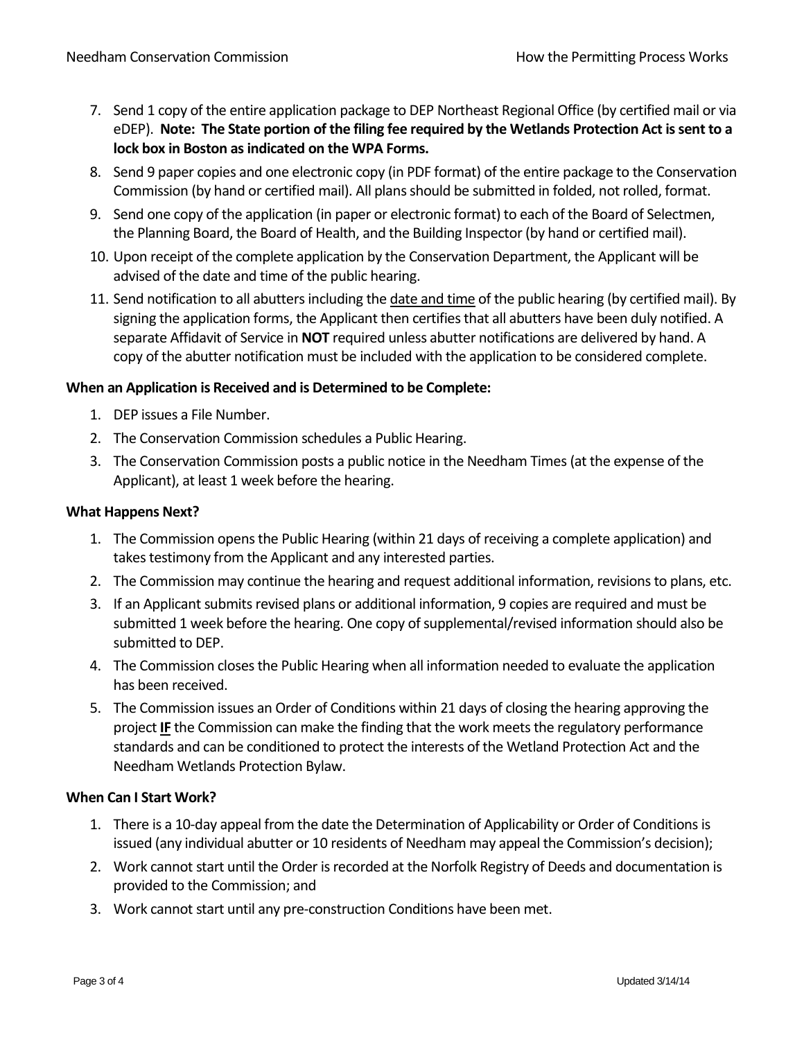- 7. Send 1 copy of the entire application package to DEP Northeast Regional Office (by certified mail or via eDEP). **Note: The State portion of the filing fee required by the Wetlands Protection Act is sent to a lock box in Boston as indicated on the WPA Forms.**
- 8. Send 9 paper copies and one electronic copy (in PDF format) of the entire package to the Conservation Commission (by hand or certified mail). All plans should be submitted in folded, not rolled, format.
- 9. Send one copy of the application (in paper or electronic format) to each of the Board of Selectmen, the Planning Board, the Board of Health, and the Building Inspector (by hand or certified mail).
- 10. Upon receipt of the complete application by the Conservation Department, the Applicant will be advised of the date and time of the public hearing.
- 11. Send notification to all abutters including the date and time of the public hearing (by certified mail). By signing the application forms, the Applicant then certifies that all abutters have been duly notified. A separate Affidavit of Service in **NOT** required unless abutter notifications are delivered by hand. A copy of the abutter notification must be included with the application to be considered complete.

# **When an Application is Received and is Determined to be Complete:**

- 1. DEP issues a File Number.
- 2. The Conservation Commission schedules a Public Hearing.
- 3. The Conservation Commission posts a public notice in the Needham Times (at the expense of the Applicant), at least 1 week before the hearing.

#### **What Happens Next?**

- 1. The Commission opens the Public Hearing (within 21 days of receiving a complete application) and takes testimony from the Applicant and any interested parties.
- 2. The Commission may continue the hearing and request additional information, revisions to plans, etc.
- 3. If an Applicant submits revised plans or additional information, 9 copies are required and must be submitted 1 week before the hearing. One copy of supplemental/revised information should also be submitted to DEP.
- 4. The Commission closes the Public Hearing when all information needed to evaluate the application has been received.
- 5. The Commission issues an Order of Conditions within 21 days of closing the hearing approving the project **IF** the Commission can make the finding that the work meets the regulatory performance standards and can be conditioned to protect the interests of the Wetland Protection Act and the Needham Wetlands Protection Bylaw.

## **When Can I Start Work?**

- 1. There is a 10-day appeal from the date the Determination of Applicability or Order of Conditions is issued (any individual abutter or 10 residents of Needham may appeal the Commission's decision);
- 2. Work cannot start until the Order is recorded at the Norfolk Registry of Deeds and documentation is provided to the Commission; and
- 3. Work cannot start until any pre-construction Conditions have been met.